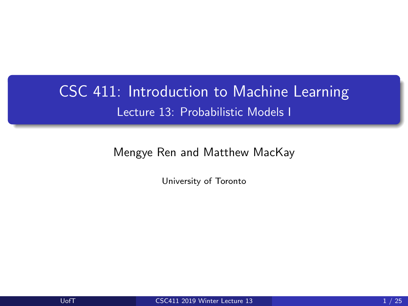# <span id="page-0-0"></span>CSC 411: Introduction to Machine Learning Lecture 13: Probabilistic Models I

Mengye Ren and Matthew MacKay

University of Toronto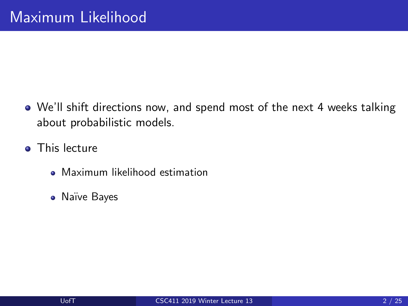- We'll shift directions now, and spend most of the next 4 weeks talking about probabilistic models.
- **o** This lecture
	- **Maximum likelihood estimation**
	- **•** Naïve Bayes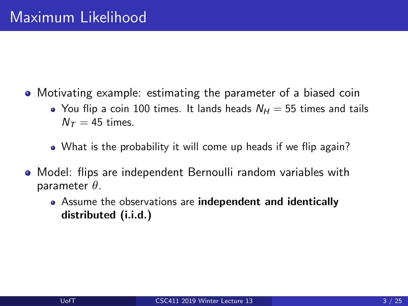- Motivating example: estimating the parameter of a biased coin
	- You flip a coin 100 times. It lands heads  $N_H = 55$  times and tails  $N_{\tau} = 45$  times.
	- What is the probability it will come up heads if we flip again?
- Model: flips are independent Bernoulli random variables with parameter  $\theta$ .
	- Assume the observations are independent and identically distributed (i.i.d.)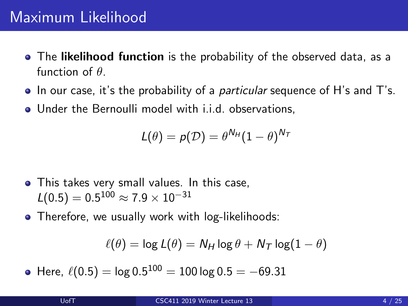- The likelihood function is the probability of the observed data, as a function of  $\theta$ .
- $\bullet$  In our case, it's the probability of a *particular* sequence of H's and T's.
- Under the Bernoulli model with i.i.d. observations,

$$
L(\theta) = p(\mathcal{D}) = \theta^{N_H} (1-\theta)^{N_T}
$$

- This takes very small values. In this case,  $\mathcal{L}(0.5)=0.5^{100}\approx 7.9\times 10^{-31}$
- Therefore, we usually work with log-likelihoods:

$$
\ell(\theta) = \log L(\theta) = N_H \log \theta + N_T \log(1 - \theta)
$$

Here,  $\,\ell(0.5) = \log 0.5^{100} = 100$  log  $0.5 = -69.31$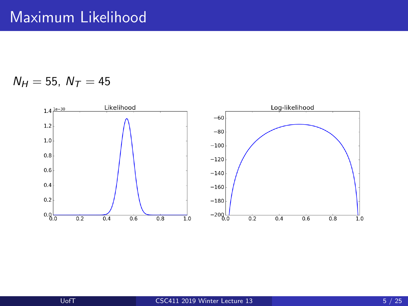$N_H = 55$ ,  $N_T = 45$ 

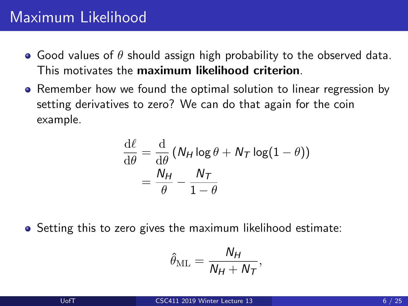- Good values of  $\theta$  should assign high probability to the observed data. This motivates the maximum likelihood criterion.
- Remember how we found the optimal solution to linear regression by setting derivatives to zero? We can do that again for the coin example.

$$
\frac{d\ell}{d\theta} = \frac{d}{d\theta} (N_H \log \theta + N_T \log(1 - \theta))
$$

$$
= \frac{N_H}{\theta} - \frac{N_T}{1 - \theta}
$$

Setting this to zero gives the maximum likelihood estimate:

$$
\hat{\theta}_{\mathrm{ML}} = \frac{N_H}{N_H + N_T},
$$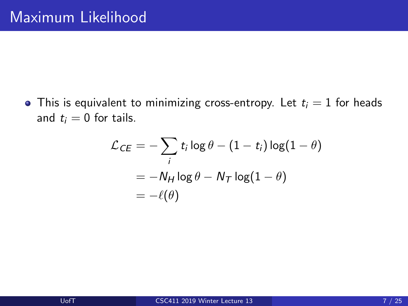• This is equivalent to minimizing cross-entropy. Let  $t_i = 1$  for heads and  $t_i = 0$  for tails.

$$
\mathcal{L}_{CE} = -\sum_{i} t_{i} \log \theta - (1 - t_{i}) \log(1 - \theta)
$$

$$
= -N_{H} \log \theta - N_{T} \log(1 - \theta)
$$

$$
= -\ell(\theta)
$$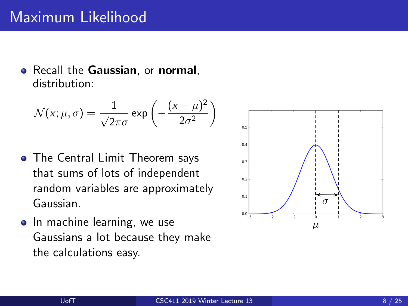• Recall the Gaussian, or normal, distribution:

$$
\mathcal{N}(x; \mu, \sigma) = \frac{1}{\sqrt{2\pi}\sigma} \exp\left(-\frac{(x-\mu)^2}{2\sigma^2}\right)
$$

- The Central Limit Theorem says that sums of lots of independent random variables are approximately Gaussian.
- In machine learning, we use Gaussians a lot because they make the calculations easy.

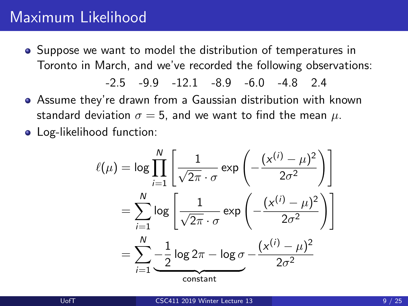Suppose we want to model the distribution of temperatures in Toronto in March, and we've recorded the following observations:

-2.5 -9.9 -12.1 -8.9 -6.0 -4.8 2.4

Assume they're drawn from a Gaussian distribution with known standard deviation  $\sigma = 5$ , and we want to find the mean  $\mu$ .

• Log-likelihood function:

$$
\ell(\mu) = \log \prod_{i=1}^{N} \left[ \frac{1}{\sqrt{2\pi} \cdot \sigma} \exp \left( -\frac{(x^{(i)} - \mu)^2}{2\sigma^2} \right) \right]
$$

$$
= \sum_{i=1}^{N} \log \left[ \frac{1}{\sqrt{2\pi} \cdot \sigma} \exp \left( -\frac{(x^{(i)} - \mu)^2}{2\sigma^2} \right) \right]
$$

$$
= \sum_{i=1}^{N} \frac{1}{2} \log 2\pi - \log \sigma - \frac{(x^{(i)} - \mu)^2}{2\sigma^2}
$$
constant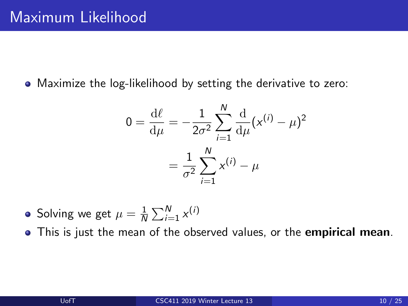Maximize the log-likelihood by setting the derivative to zero:

$$
0 = \frac{d\ell}{d\mu} = -\frac{1}{2\sigma^2} \sum_{i=1}^{N} \frac{d}{d\mu} (x^{(i)} - \mu)^2
$$

$$
= \frac{1}{\sigma^2} \sum_{i=1}^{N} x^{(i)} - \mu
$$

- Solving we get  $\mu=\frac{1}{\Lambda}$  $\frac{1}{N} \sum_{i=1}^{N} x^{(i)}$
- This is just the mean of the observed values, or the empirical mean.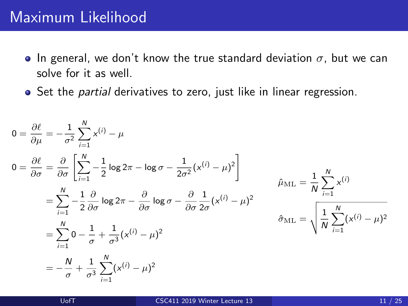- In general, we don't know the true standard deviation  $\sigma$ , but we can solve for it as well.
- Set the *partial* derivatives to zero, just like in linear regression.

$$
0 = \frac{\partial \ell}{\partial \mu} = -\frac{1}{\sigma^2} \sum_{i=1}^{N} x^{(i)} - \mu
$$
  
\n
$$
0 = \frac{\partial \ell}{\partial \sigma} = \frac{\partial}{\partial \sigma} \left[ \sum_{i=1}^{N} -\frac{1}{2} \log 2\pi - \log \sigma - \frac{1}{2\sigma^2} (x^{(i)} - \mu)^2 \right]
$$
  
\n
$$
= \sum_{i=1}^{N} -\frac{1}{2} \frac{\partial}{\partial \sigma} \log 2\pi - \frac{\partial}{\partial \sigma} \log \sigma - \frac{\partial}{\partial \sigma} \frac{1}{2\sigma} (x^{(i)} - \mu)^2
$$
  
\n
$$
= \sum_{i=1}^{N} 0 - \frac{1}{\sigma} + \frac{1}{\sigma^3} (x^{(i)} - \mu)^2
$$
  
\n
$$
= -\frac{N}{\sigma} + \frac{1}{\sigma^3} \sum_{i=1}^{N} (x^{(i)} - \mu)^2
$$
  
\n
$$
0 = \frac{1}{\sigma} \sum_{i=1}^{N} x^{(i)} - \mu^2
$$
  
\n
$$
\hat{\sigma}_{ML} = \sqrt{\frac{1}{N} \sum_{i=1}^{N} (x^{(i)} - \mu)^2}
$$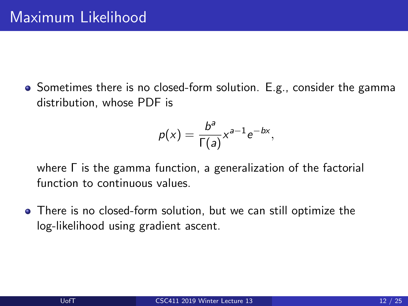• Sometimes there is no closed-form solution. E.g., consider the gamma distribution, whose PDF is

$$
p(x) = \frac{b^a}{\Gamma(a)} x^{a-1} e^{-bx},
$$

where Γ is the gamma function, a generalization of the factorial function to continuous values.

There is no closed-form solution, but we can still optimize the log-likelihood using gradient ascent.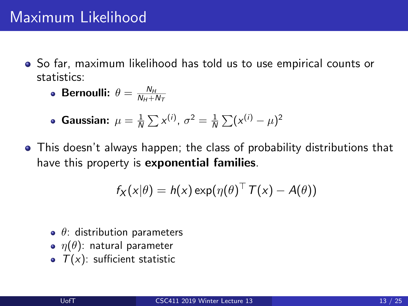So far, maximum likelihood has told us to use empirical counts or statistics:

• **Bernoulli:** 
$$
\theta = \frac{N_H}{N_H + N_T}
$$

- Gaussian:  $\mu = \frac{1}{N} \sum x^{(i)}$ ,  $\sigma^2 = \frac{1}{N} \sum (x^{(i)} \mu)^2$
- This doesn't always happen; the class of probability distributions that have this property is **exponential families**.

$$
f_X(x|\theta) = h(x) \exp(\eta(\theta)^{\top} T(x) - A(\theta))
$$

- $\bullet$   $\theta$ : distribution parameters
- $\bullet$   $\eta(\theta)$ : natural parameter
- $\bullet$   $T(x)$ : sufficient statistic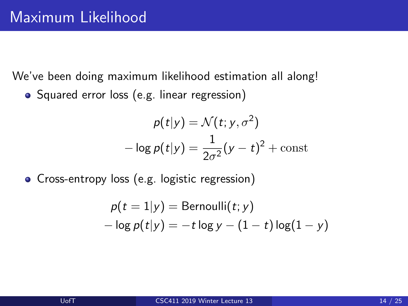We've been doing maximum likelihood estimation all along!

• Squared error loss (e.g. linear regression)

$$
p(t|y) = \mathcal{N}(t; y, \sigma^2)
$$

$$
-\log p(t|y) = \frac{1}{2\sigma^2}(y - t)^2 + \text{const}
$$

Cross-entropy loss (e.g. logistic regression)

$$
p(t = 1|y) = Bernoulli(t; y)
$$
  
- log  $p(t|y) = -t$  log y – (1 – t) log(1 – y)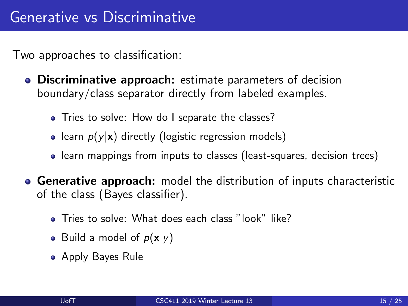Two approaches to classification:

- **Discriminative approach:** estimate parameters of decision boundary/class separator directly from labeled examples.
	- Tries to solve: How do I separate the classes?
	- learn  $p(y|x)$  directly (logistic regression models)
	- learn mappings from inputs to classes (least-squares, decision trees)
- **Generative approach:** model the distribution of inputs characteristic of the class (Bayes classifier).
	- Tries to solve: What does each class "look" like?
	- Build a model of  $p(x|y)$
	- Apply Bayes Rule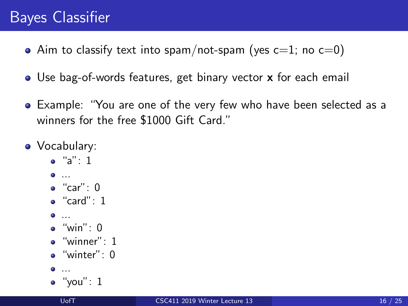# Bayes Classifier

- Aim to classify text into spam/not-spam (yes  $c=1$ ; no  $c=0$ )
- Use bag-of-words features, get binary vector x for each email
- Example: "You are one of the very few who have been selected as a winners for the free \$1000 Gift Card."
- Vocabulary:
	- $\bullet$  "a": 1
	- ...
	- "car": 0
	- $\bullet$  "card": 1
	-
	- $^{\circ}$  "win": 0
	- $\bullet$  "winner": 1
	- $\bullet$  "winter": 0
	- $\bullet$  ...
	- $\bullet$  "you": 1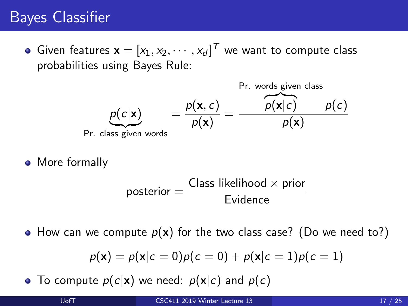## Bayes Classifier

Given features  $\mathbf{x} = [x_1, x_2, \cdots, x_d]^T$  we want to compute class probabilities using Bayes Rule:



• More formally

$$
posterior = \frac{Class likelihood \times prior}{Evidence}
$$

• How can we compute  $p(x)$  for the two class case? (Do we need to?)

$$
p(\mathbf{x}) = p(\mathbf{x}|c = 0)p(c = 0) + p(\mathbf{x}|c = 1)p(c = 1)
$$

• To compute  $p(c|\mathbf{x})$  we need:  $p(\mathbf{x}|c)$  and  $p(c)$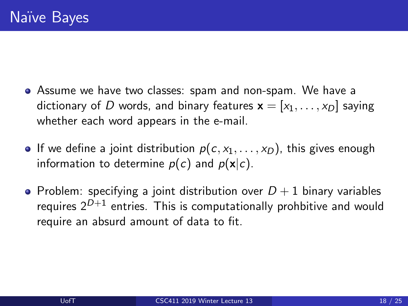- Assume we have two classes: spam and non-spam. We have a dictionary of D words, and binary features  $\mathbf{x} = [x_1, \dots, x_D]$  saying whether each word appears in the e-mail.
- If we define a joint distribution  $p(c, x_1, \ldots, x_D)$ , this gives enough information to determine  $p(c)$  and  $p(x|c)$ .
- Problem: specifying a joint distribution over  $D+1$  binary variables requires  $2^{D+1}$  entries. This is computationally prohbitive and would require an absurd amount of data to fit.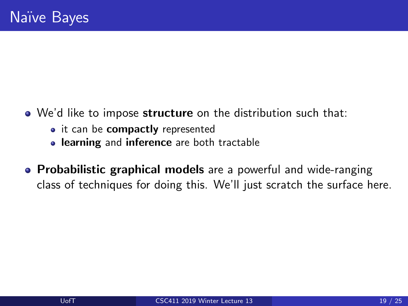- We'd like to impose structure on the distribution such that:
	- it can be compactly represented
	- **.** learning and inference are both tractable
- Probabilistic graphical models are a powerful and wide-ranging class of techniques for doing this. We'll just scratch the surface here.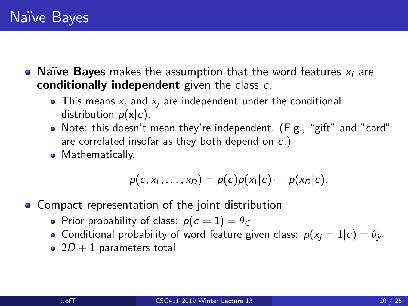- Naïve Bayes makes the assumption that the word features  $x_i$  are conditionally independent given the class c.
	- This means  $x_i$  and  $x_i$  are independent under the conditional distribution  $p(x|c)$ .
	- Note: this doesn't mean they're independent. (E.g., "gift" and "card" are correlated insofar as they both depend on c.)
	- Mathematically,

$$
p(c, x_1, \ldots, x_D) = p(c)p(x_1|c) \cdots p(x_D|c).
$$

- Compact representation of the joint distribution
	- Prior probability of class:  $p(c = 1) = \theta_c$
	- Conditional probability of word feature given class:  $p(x_i = 1|c) = \theta_{ic}$
	- 2 $D + 1$  parameters total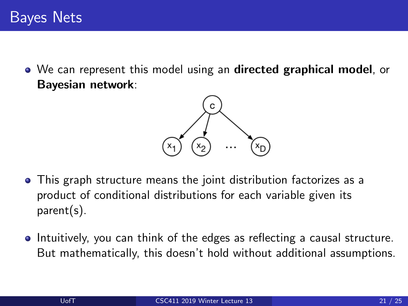• We can represent this model using an **directed graphical model**, or Bayesian network:



- This graph structure means the joint distribution factorizes as a product of conditional distributions for each variable given its parent(s).
- Intuitively, you can think of the edges as reflecting a causal structure. But mathematically, this doesn't hold without additional assumptions.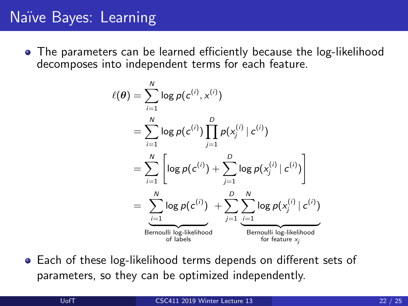# Na¨ıve Bayes: Learning

The parameters can be learned efficiently because the log-likelihood decomposes into independent terms for each feature.

$$
\ell(\theta) = \sum_{i=1}^{N} \log p(c^{(i)}, x^{(i)})
$$
  
\n
$$
= \sum_{i=1}^{N} \log p(c^{(i)}) \prod_{j=1}^{D} p(x_j^{(i)} | c^{(i)})
$$
  
\n
$$
= \sum_{i=1}^{N} \left[ \log p(c^{(i)}) + \sum_{j=1}^{D} \log p(x_j^{(i)} | c^{(i)}) \right]
$$
  
\n
$$
= \sum_{i=1}^{N} \log p(c^{(i)}) + \sum_{j=1}^{D} \sum_{\substack{i=1 \text{odd } j}}^{N} \log p(x_j^{(i)} | c^{(i)})
$$
  
\nBernoulli log-likelihood\nfor feature *x\_j*

Each of these log-likelihood terms depends on different sets of parameters, so they can be optimized independently.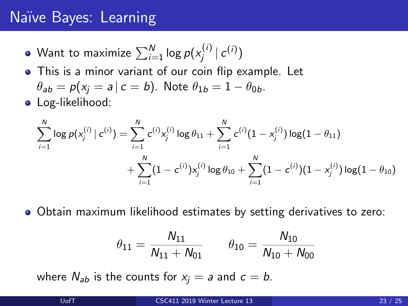# Na¨ıve Bayes: Learning

- Want to maximize  $\sum_{i=1}^N \log p(x_j^{(i)})$  $\left| \mathcal{L}^{(i)} \right| \mathcal{L}^{(i)}$
- This is a minor variant of our coin flip example. Let  $\theta_{ab} = p(x_i = a \mid c = b)$ . Note  $\theta_{1b} = 1 - \theta_{0b}$ .
- **•** Log-likelihood:

$$
\begin{aligned} \sum_{i=1}^N \log p(x_j^{(i)} \mid c^{(i)}) = & \sum_{i=1}^N c^{(i)} x_j^{(i)} \log \theta_{11} + \sum_{i=1}^N c^{(i)} (1-x_j^{(i)}) \log (1-\theta_{11}) \\ & + \sum_{i=1}^N (1-c^{(i)}) x_j^{(i)} \log \theta_{10} + \sum_{i=1}^N (1-c^{(i)}) (1-x_j^{(i)}) \log (1-\theta_{10}) \end{aligned}
$$

Obtain maximum likelihood estimates by setting derivatives to zero:

$$
\theta_{11} = \frac{N_{11}}{N_{11} + N_{01}} \qquad \theta_{10} = \frac{N_{10}}{N_{10} + N_{00}}
$$

where  $N_{ab}$  is the counts for  $x_i = a$  and  $c = b$ .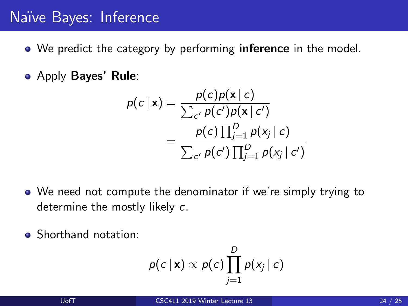# Naïve Bayes: Inference

- We predict the category by performing **inference** in the model.
- Apply Bayes' Rule:

$$
p(c \mid \mathbf{x}) = \frac{p(c)p(\mathbf{x} \mid c)}{\sum_{c'} p(c')p(\mathbf{x} \mid c')}
$$

$$
= \frac{p(c) \prod_{j=1}^{D} p(x_j \mid c)}{\sum_{c'} p(c') \prod_{j=1}^{D} p(x_j \mid c')}
$$

- We need not compute the denominator if we're simply trying to determine the mostly likely c.
- Shorthand notation:

$$
p(c | \mathbf{x}) \propto p(c) \prod_{j=1}^D p(x_j | c)
$$